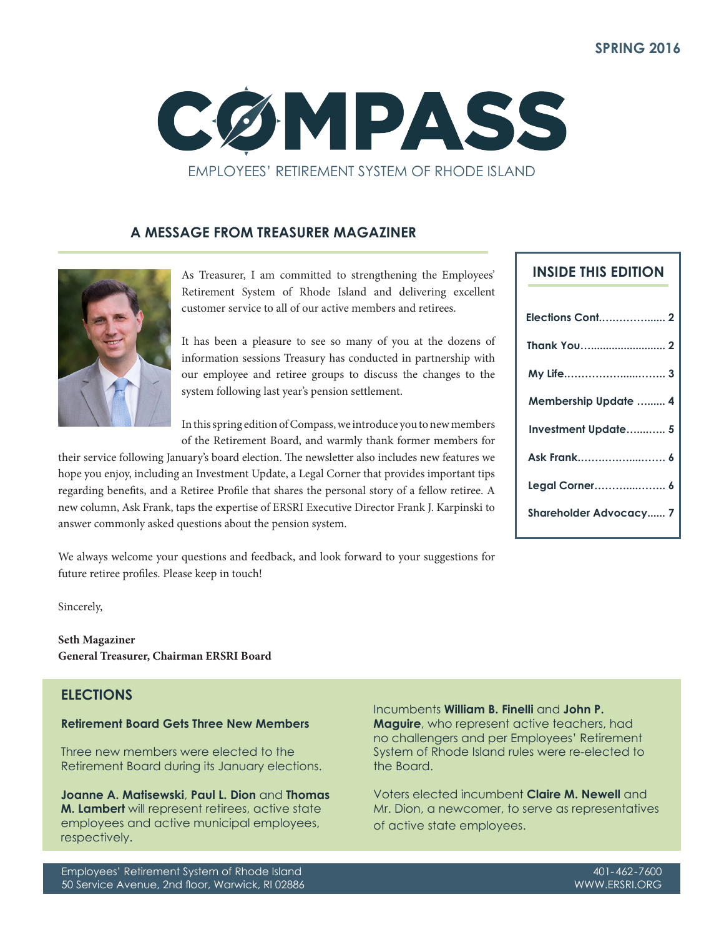

## **A MESSAGE FROM TREASURER MAGAZINER**



As Treasurer, I am committed to strengthening the Employees' Retirement System of Rhode Island and delivering excellent customer service to all of our active members and retirees.

It has been a pleasure to see so many of you at the dozens of information sessions Treasury has conducted in partnership with our employee and retiree groups to discuss the changes to the system following last year's pension settlement.

In this spring edition of Compass, we introduce you to new members of the Retirement Board, and warmly thank former members for

their service following January's board election. The newsletter also includes new features we hope you enjoy, including an Investment Update, a Legal Corner that provides important tips regarding benefits, and a Retiree Profile that shares the personal story of a fellow retiree. A new column, Ask Frank, taps the expertise of ERSRI Executive Director Frank J. Karpinski to answer commonly asked questions about the pension system.

We always welcome your questions and feedback, and look forward to your suggestions for future retiree profiles. Please keep in touch!

Sincerely,

**Seth Magaziner General Treasurer, Chairman ERSRI Board**

## **ELECTIONS**

### **Retirement Board Gets Three New Members**

Three new members were elected to the Retirement Board during its January elections.

**Joanne A. Matisewski**, **Paul L. Dion** and **Thomas M. Lambert** will represent retirees, active state employees and active municipal employees, respectively.

Incumbents **William B. Finelli** and **John P. Maguire**, who represent active teachers, had no challengers and per Employees' Retirement System of Rhode Island rules were re-elected to the Board.

Voters elected incumbent **Claire M. Newell** and Mr. Dion, a newcomer, to serve as representatives of active state employees.

| <b>INSIDE THIS EDITION</b>    |
|-------------------------------|
| Elections Cont 2              |
|                               |
|                               |
| <b>Membership Update  4</b>   |
| Investment Update 5           |
| Ask Frank 6                   |
| Legal Corner 6                |
| <b>Shareholder Advocacy 7</b> |
|                               |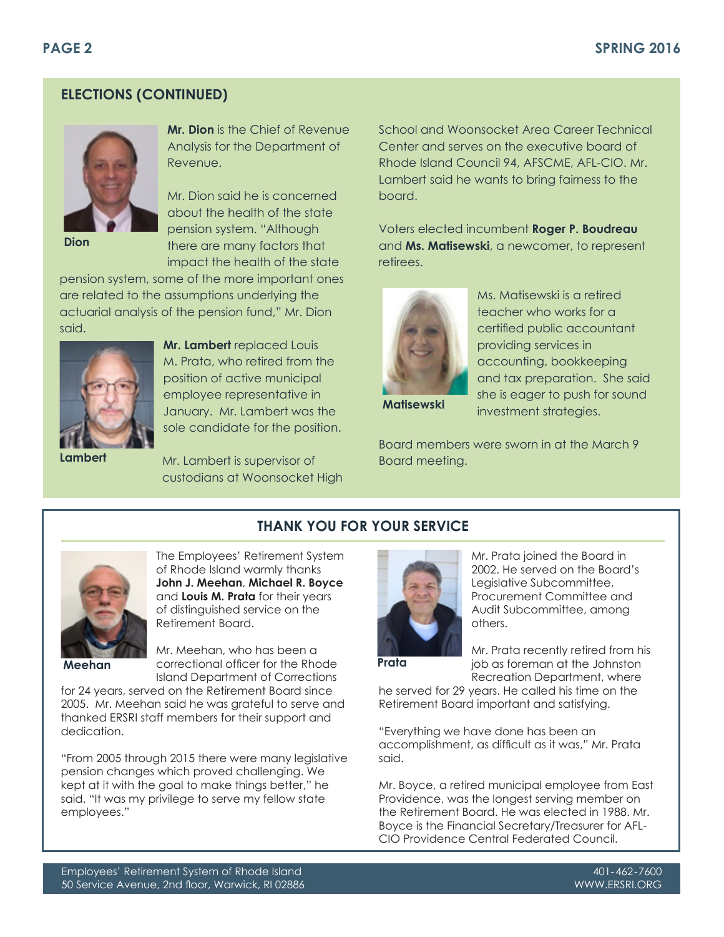# **ELECTIONS (CONTINUED)**



**Dion**

**Mr. Dion** is the Chief of Revenue Analysis for the Department of Revenue.

Mr. Dion said he is concerned about the health of the state pension system. "Although there are many factors that impact the health of the state

pension system, some of the more important ones are related to the assumptions underlying the actuarial analysis of the pension fund," Mr. Dion said.



**Lambert**

**Mr. Lambert** replaced Louis M. Prata, who retired from the position of active municipal employee representative in January. Mr. Lambert was the

Mr. Lambert is supervisor of custodians at Woonsocket High

sole candidate for the position.

School and Woonsocket Area Career Technical Center and serves on the executive board of Rhode Island Council 94, AFSCME, AFL-CIO. Mr. Lambert said he wants to bring fairness to the board.

Voters elected incumbent **Roger P. Boudreau** and **Ms. Matisewski**, a newcomer, to represent retirees.



Ms. Matisewski is a retired teacher who works for a certified public accountant providing services in accounting, bookkeeping and tax preparation. She said she is eager to push for sound investment strategies.

**Matisewski**

Board members were sworn in at the March 9 Board meeting.



The Employees' Retirement System of Rhode Island warmly thanks **John J. Meehan**, **Michael R. Boyce** and **Louis M. Prata** for their years of distinguished service on the Retirement Board.

Mr. Meehan, who has been a correctional officer for the Rhode **Meehan Prata**Island Department of Corrections

for 24 years, served on the Retirement Board since 2005. Mr. Meehan said he was grateful to serve and thanked ERSRI staff members for their support and dedication.

"From 2005 through 2015 there were many legislative pension changes which proved challenging. We kept at it with the goal to make things better," he said. "It was my privilege to serve my fellow state employees."



Mr. Prata joined the Board in 2002. He served on the Board's Legislative Subcommittee, Procurement Committee and Audit Subcommittee, among others.

**THANK YOU FOR YOUR SERVICE**

Mr. Prata recently retired from his job as foreman at the Johnston Recreation Department, where

he served for 29 years. He called his time on the Retirement Board important and satisfying.

"Everything we have done has been an accomplishment, as difficult as it was," Mr. Prata said.

Mr. Boyce, a retired municipal employee from East Providence, was the longest serving member on the Retirement Board. He was elected in 1988. Mr. Boyce is the Financial Secretary/Treasurer for AFL-CIO Providence Central Federated Council.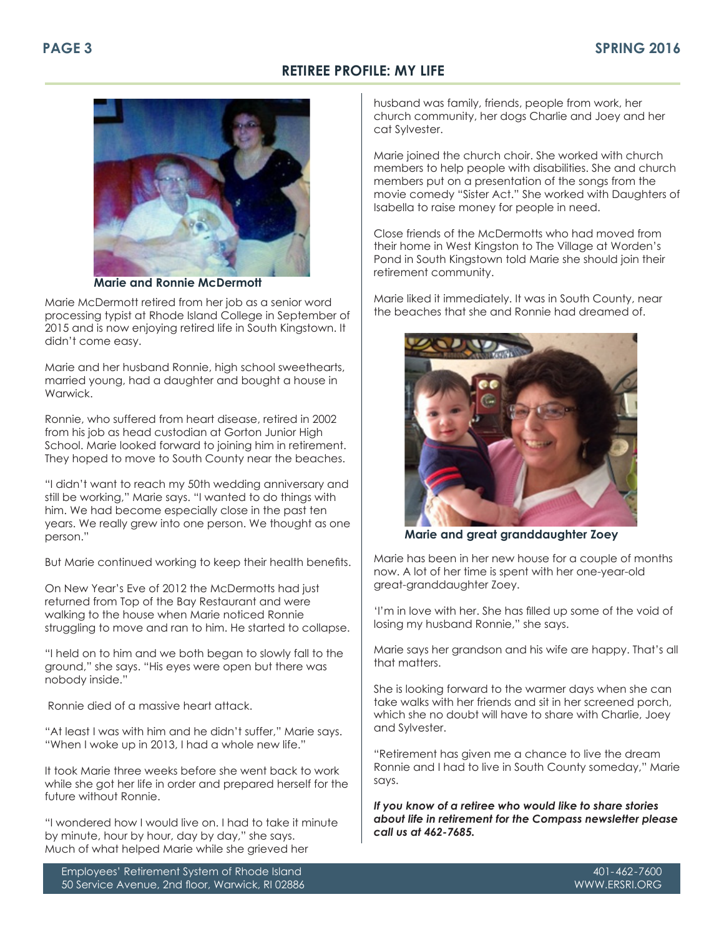## **RETIREE PROFILE: MY LIFE**



**Marie and Ronnie McDermott**

Marie McDermott retired from her job as a senior word processing typist at Rhode Island College in September of 2015 and is now enjoying retired life in South Kingstown. It didn't come easy.

Marie and her husband Ronnie, high school sweethearts, married young, had a daughter and bought a house in Warwick.

Ronnie, who suffered from heart disease, retired in 2002 from his job as head custodian at Gorton Junior High School. Marie looked forward to joining him in retirement. They hoped to move to South County near the beaches.

"I didn't want to reach my 50th wedding anniversary and still be working," Marie says. "I wanted to do things with him. We had become especially close in the past ten years. We really grew into one person. We thought as one person."

But Marie continued working to keep their health benefits.

On New Year's Eve of 2012 the McDermotts had just returned from Top of the Bay Restaurant and were walking to the house when Marie noticed Ronnie struggling to move and ran to him. He started to collapse.

"I held on to him and we both began to slowly fall to the ground," she says. "His eyes were open but there was nobody inside."

Ronnie died of a massive heart attack.

"At least I was with him and he didn't suffer," Marie says. "When I woke up in 2013, I had a whole new life."

It took Marie three weeks before she went back to work while she got her life in order and prepared herself for the future without Ronnie.

"I wondered how I would live on. I had to take it minute by minute, hour by hour, day by day," she says. Much of what helped Marie while she grieved her

Employees' Retirement System of Rhode Island 50 Service Avenue, 2nd floor, Warwick, RI 02886 husband was family, friends, people from work, her church community, her dogs Charlie and Joey and her cat Sylvester.

Marie joined the church choir. She worked with church members to help people with disabilities. She and church members put on a presentation of the songs from the movie comedy "Sister Act." She worked with Daughters of Isabella to raise money for people in need.

Close friends of the McDermotts who had moved from their home in West Kingston to The Village at Worden's Pond in South Kingstown told Marie she should join their retirement community.

Marie liked it immediately. It was in South County, near the beaches that she and Ronnie had dreamed of.



**Marie and great granddaughter Zoey**

Marie has been in her new house for a couple of months now. A lot of her time is spent with her one-year-old great-granddaughter Zoey.

'I'm in love with her. She has filled up some of the void of losing my husband Ronnie," she says.

Marie says her grandson and his wife are happy. That's all that matters.

She is looking forward to the warmer days when she can take walks with her friends and sit in her screened porch, which she no doubt will have to share with Charlie, Joey and Sylvester.

"Retirement has given me a chance to live the dream Ronnie and I had to live in South County someday," Marie says.

*If you know of a retiree who would like to share stories about life in retirement for the Compass newsletter please call us at 462-7685.*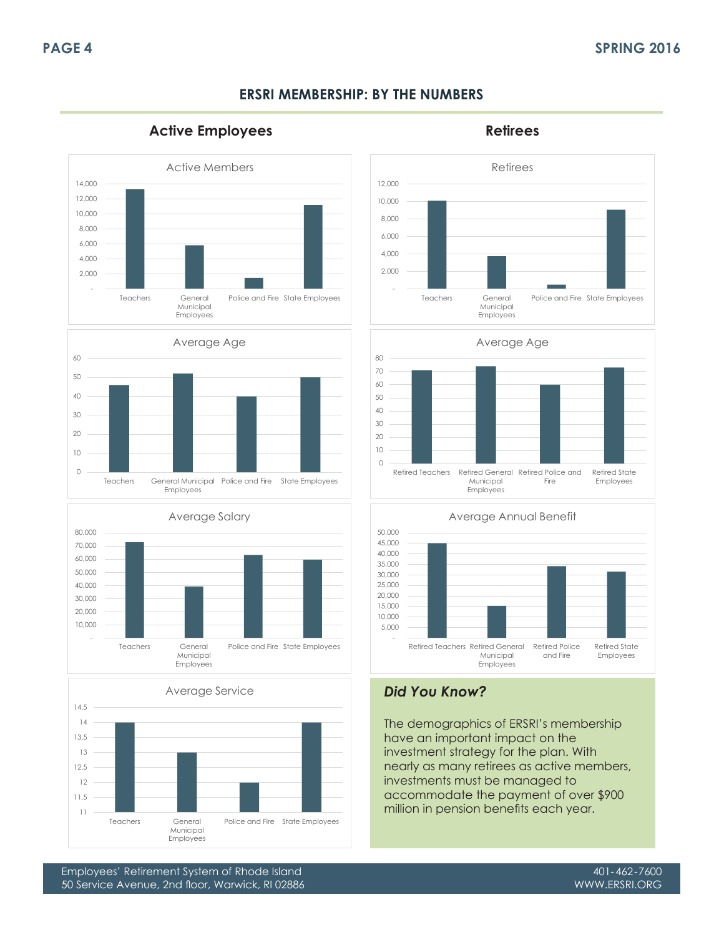## **ERSRI MEMBERSHIP: BY THE NUMBERS**

Active Employees and a setting of the Retirees

















The demographics of ERSRI's membership have an important impact on the investment strategy for the plan. With nearly as many retirees as active members, investments must be managed to accommodate the payment of over \$900 million in pension benefits each year.

Employees' Retirement System of Rhode Island 50 Service Avenue, 2nd floor, Warwick, RI 02886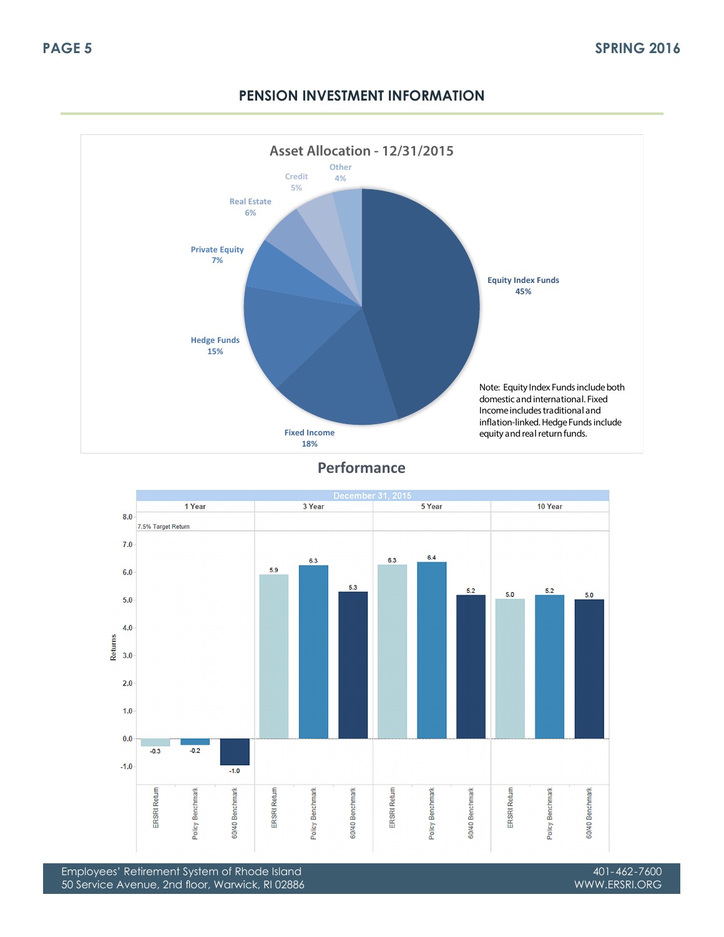

# **PENSION INVESTMENT INFORMATION**

**Performance**



Employees' Retirement System of Rhode Island 50 Service Avenue, 2nd floor, Warwick, RI 02886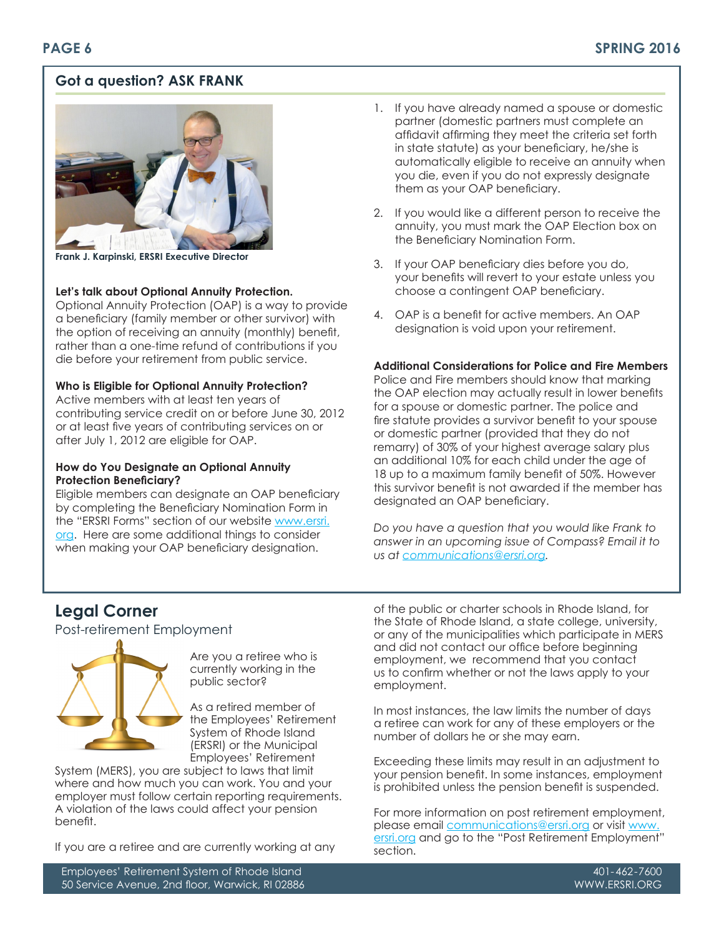# **Got a question? ASK FRANK**



**Frank J. Karpinski, ERSRI Executive Director**

## **Let's talk about Optional Annuity Protection.**

Optional Annuity Protection (OAP) is a way to provide a beneficiary (family member or other survivor) with the option of receiving an annuity (monthly) benefit, rather than a one-time refund of contributions if you die before your retirement from public service.

### **Who is Eligible for Optional Annuity Protection?**

Active members with at least ten years of contributing service credit on or before June 30, 2012 or at least five years of contributing services on or after July 1, 2012 are eligible for OAP.

### **How do You Designate an Optional Annuity Protection Beneficiary?**

Eligible members can designate an OAP beneficiary by completing the Beneficiary Nomination Form in the "ERSRI Forms" section of our website www.ersri. org. Here are some additional things to consider when making your OAP beneficiary designation.

- 1. If you have already named a spouse or domestic partner (domestic partners must complete an affidavit affirming they meet the criteria set forth in state statute) as your beneficiary, he/she is automatically eligible to receive an annuity when you die, even if you do not expressly designate them as your OAP beneficiary.
- 2. If you would like a different person to receive the annuity, you must mark the OAP Election box on the Beneficiary Nomination Form.
- 3. If your OAP beneficiary dies before you do, your benefits will revert to your estate unless you choose a contingent OAP beneficiary.
- 4. OAP is a benefit for active members. An OAP designation is void upon your retirement.

#### **Additional Considerations for Police and Fire Members**

Police and Fire members should know that marking the OAP election may actually result in lower benefits for a spouse or domestic partner. The police and fire statute provides a survivor benefit to your spouse or domestic partner (provided that they do not remarry) of 30% of your highest average salary plus an additional 10% for each child under the age of 18 up to a maximum family benefit of 50%. However this survivor benefit is not awarded if the member has designated an OAP beneficiary.

*Do you have a question that you would like Frank to answer in an upcoming issue of Compass? Email it to us at communications@ersri.org.* 

# **Legal Corner**

Post-retirement Employment



Are you a retiree who is currently working in the public sector?

As a retired member of the Employees' Retirement System of Rhode Island (ERSRI) or the Municipal Employees' Retirement

System (MERS), you are subject to laws that limit where and how much you can work. You and your employer must follow certain reporting requirements. A violation of the laws could affect your pension benefit.

If you are a retiree and are currently working at any

of the public or charter schools in Rhode Island, for the State of Rhode Island, a state college, university, or any of the municipalities which participate in MERS and did not contact our office before beginning employment, we recommend that you contact us to confirm whether or not the laws apply to your employment.

In most instances, the law limits the number of days a retiree can work for any of these employers or the number of dollars he or she may earn.

Exceeding these limits may result in an adjustment to your pension benefit. In some instances, employment is prohibited unless the pension benefit is suspended.

For more information on post retirement employment, please email communications@ersri.org or visit www. ersri.org and go to the "Post Retirement Employment" section.

Employees' Retirement System of Rhode Island 50 Service Avenue, 2nd floor, Warwick, RI 02886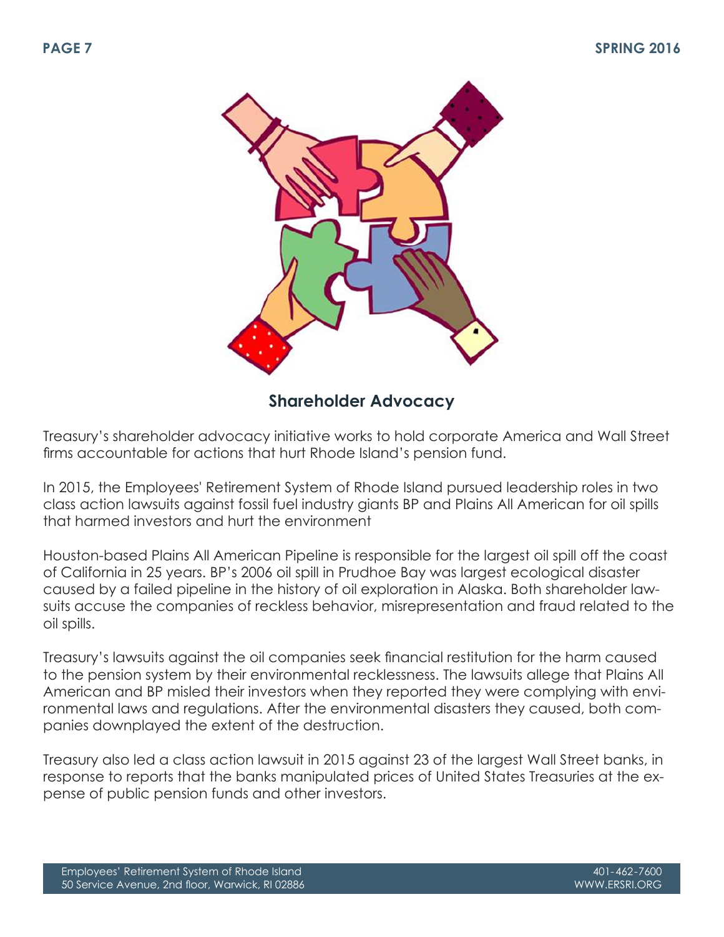

# **Shareholder Advocacy**

Treasury's shareholder advocacy initiative works to hold corporate America and Wall Street firms accountable for actions that hurt Rhode Island's pension fund.

In 2015, the Employees' Retirement System of Rhode Island pursued leadership roles in two class action lawsuits against fossil fuel industry giants BP and Plains All American for oil spills that harmed investors and hurt the environment

Houston-based Plains All American Pipeline is responsible for the largest oil spill off the coast of California in 25 years. BP's 2006 oil spill in Prudhoe Bay was largest ecological disaster caused by a failed pipeline in the history of oil exploration in Alaska. Both shareholder lawsuits accuse the companies of reckless behavior, misrepresentation and fraud related to the oil spills.

Treasury's lawsuits against the oil companies seek financial restitution for the harm caused to the pension system by their environmental recklessness. The lawsuits allege that Plains All American and BP misled their investors when they reported they were complying with environmental laws and regulations. After the environmental disasters they caused, both companies downplayed the extent of the destruction.

Treasury also led a class action lawsuit in 2015 against 23 of the largest Wall Street banks, in response to reports that the banks manipulated prices of United States Treasuries at the expense of public pension funds and other investors.